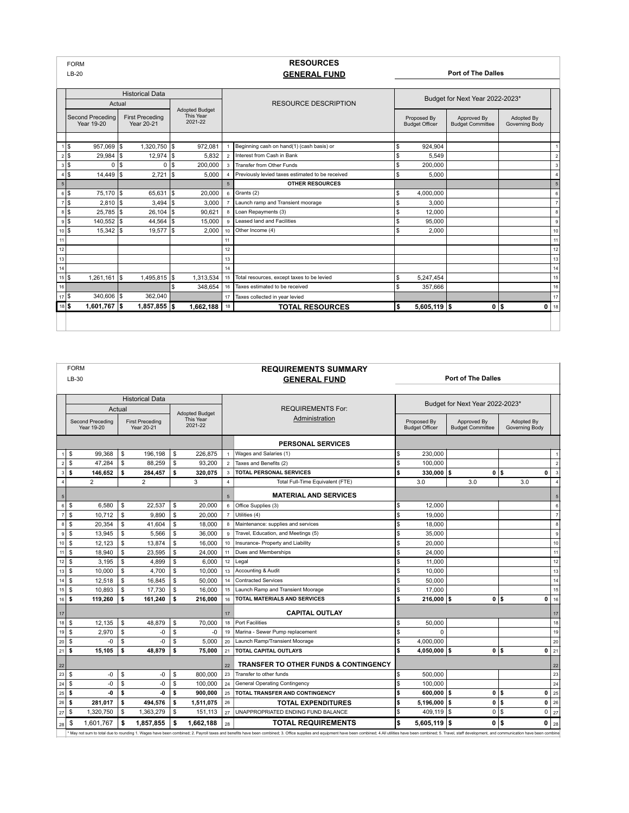|                    | <b>FORM</b><br>$LB-20$         |        |                                      |     |                                               |                 | <b>RESOURCES</b><br><b>GENERAL FUND</b>          |                                 |                | <b>Port of The Dalles</b>            |                                        |                              |  |  |
|--------------------|--------------------------------|--------|--------------------------------------|-----|-----------------------------------------------|-----------------|--------------------------------------------------|---------------------------------|----------------|--------------------------------------|----------------------------------------|------------------------------|--|--|
|                    |                                |        | <b>Historical Data</b>               |     |                                               |                 |                                                  | Budget for Next Year 2022-2023* |                |                                      |                                        |                              |  |  |
|                    |                                | Actual |                                      |     |                                               |                 | <b>RESOURCE DESCRIPTION</b>                      |                                 |                |                                      |                                        |                              |  |  |
|                    | Second Preceding<br>Year 19-20 |        | <b>First Preceding</b><br>Year 20-21 |     | <b>Adopted Budget</b><br>This Year<br>2021-22 |                 |                                                  |                                 |                | Proposed By<br><b>Budget Officer</b> | Approved By<br><b>Budget Committee</b> | Adopted By<br>Governing Body |  |  |
|                    |                                |        |                                      |     |                                               |                 |                                                  |                                 |                |                                      |                                        |                              |  |  |
|                    | l\$<br>957,069 \$              |        | 1.320.750 \$                         |     | 972.081                                       |                 | Beginning cash on hand(1) (cash basis) or        | \$                              | 924.904        |                                      |                                        |                              |  |  |
|                    | $29.984$ S                     |        | $12,974$ \$                          |     | 5.832                                         | $\overline{2}$  | Interest from Cash in Bank                       | S                               | 5.549          |                                      |                                        |                              |  |  |
| $3$ $\sqrt{3}$     | $\Omega$                       | l \$   | 0 <sup>15</sup>                      |     | 200.000                                       | $\mathbf{3}$    | Transfer from Other Funds                        | \$                              | 200.000        |                                      |                                        | 3                            |  |  |
|                    | 14,449                         | I\$    | 2,721                                | Is. | 5.000                                         | $\overline{4}$  | Previously levied taxes estimated to be received | \$.                             | 5.000          |                                      |                                        |                              |  |  |
| $\sqrt{5}$         |                                |        |                                      |     |                                               | $5\overline{5}$ | <b>OTHER RESOURCES</b>                           |                                 |                |                                      |                                        | 5                            |  |  |
| $6$ \ $$$          | 75.170 S                       |        | $65.631$ S                           |     | 20,000                                        | 6               | Grants (2)                                       | \$                              | 4,000,000      |                                      |                                        | 6                            |  |  |
| $7$ \ \$           |                                |        | $3.494$ \\$                          |     | 3.000                                         | $\overline{7}$  | Launch ramp and Transient moorage                | \$                              | 3.000          |                                      |                                        | 7                            |  |  |
| $8$ $\sqrt{3}$     | $25.785$ S                     |        | $26,104$ \$                          |     | 90.621                                        | 8               | Loan Repayments (3)                              | \$                              | 12.000         |                                      |                                        | 8                            |  |  |
| $9$ $\sqrt{3}$     | 140,552 \$                     |        | 44,564 \$                            |     | 15,000                                        | 9               | Leased land and Facilities                       | S                               | 95.000         |                                      |                                        | 9                            |  |  |
| $10$ $\frac{5}{5}$ | $15.342$ S                     |        | 19.577   \$                          |     | 2.000                                         | 10              | Other Income (4)                                 | \$.                             | 2.000          |                                      |                                        | 10                           |  |  |
| 11                 |                                |        |                                      |     |                                               | 11              |                                                  |                                 |                |                                      |                                        | 11                           |  |  |
| 12                 |                                |        |                                      |     |                                               | 12              |                                                  |                                 |                |                                      |                                        | 12                           |  |  |
| 13                 |                                |        |                                      |     |                                               | 13              |                                                  |                                 |                |                                      |                                        | 13                           |  |  |
| $14$               |                                |        |                                      |     |                                               | 14              |                                                  |                                 |                |                                      |                                        | 14                           |  |  |
| $15$ \$            | $1.261.161$ S                  |        | 1.495.815 \$                         |     | 1.313.534                                     | 15              | Total resources, except taxes to be levied       | \$                              | 5,247,454      |                                      |                                        | 15                           |  |  |
| 16                 |                                |        |                                      | \$  | 348.654                                       | 16              | Taxes estimated to be received                   | \$                              | 357,666        |                                      |                                        | 16                           |  |  |
| $17$ \ \$          | 340.606 \$                     |        | 362.040                              |     |                                               | 17              | Taxes collected in year levied                   |                                 |                |                                      |                                        | 17                           |  |  |
| 18 \$              | $1,601,767$ \$                 |        | $1,857,855$ \$                       |     | 1,662,188                                     | 18              | <b>TOTAL RESOURCES</b>                           | \$                              | $5,605,119$ \$ |                                      | 0 <sup>1</sup><br>0                    | 18                           |  |  |
|                    |                                |        |                                      |     |                                               |                 |                                                  |                                 |                |                                      |                                        |                              |  |  |

|                 | <b>FORM</b><br><b>REQUIREMENTS SUMMARY</b> |                  |              |                        |              |           |                  |                                                                                                                                                                                                                               |                                 |                       |                         |                    |    |  |  |  |  |  |  |  |  |                       |  |  |  |  |  |  |  |  |  |  |  |  |  |  |  |  |  |  |  |  |  |                |  |             |             |            |  |
|-----------------|--------------------------------------------|------------------|--------------|------------------------|--------------|-----------|------------------|-------------------------------------------------------------------------------------------------------------------------------------------------------------------------------------------------------------------------------|---------------------------------|-----------------------|-------------------------|--------------------|----|--|--|--|--|--|--|--|--|-----------------------|--|--|--|--|--|--|--|--|--|--|--|--|--|--|--|--|--|--|--|--|--|----------------|--|-------------|-------------|------------|--|
|                 | LB-30                                      |                  |              |                        |              |           |                  | <b>GENERAL FUND</b>                                                                                                                                                                                                           | <b>Port of The Dalles</b>       |                       |                         |                    |    |  |  |  |  |  |  |  |  |                       |  |  |  |  |  |  |  |  |  |  |  |  |  |  |  |  |  |  |  |  |  |                |  |             |             |            |  |
|                 |                                            |                  |              |                        |              |           |                  |                                                                                                                                                                                                                               |                                 |                       |                         |                    |    |  |  |  |  |  |  |  |  |                       |  |  |  |  |  |  |  |  |  |  |  |  |  |  |  |  |  |  |  |  |  |                |  |             |             |            |  |
|                 |                                            |                  |              | <b>Historical Data</b> |              |           |                  |                                                                                                                                                                                                                               |                                 |                       |                         |                    |    |  |  |  |  |  |  |  |  |                       |  |  |  |  |  |  |  |  |  |  |  |  |  |  |  |  |  |  |  |  |  |                |  |             |             |            |  |
|                 |                                            |                  | Actual       |                        |              |           |                  | <b>REQUIREMENTS For:</b>                                                                                                                                                                                                      | Budget for Next Year 2022-2023* |                       |                         |                    |    |  |  |  |  |  |  |  |  |                       |  |  |  |  |  |  |  |  |  |  |  |  |  |  |  |  |  |  |  |  |  |                |  |             |             |            |  |
|                 |                                            | Second Preceding |              | <b>First Preceding</b> |              | This Year |                  |                                                                                                                                                                                                                               |                                 |                       |                         |                    |    |  |  |  |  |  |  |  |  | <b>Adopted Budget</b> |  |  |  |  |  |  |  |  |  |  |  |  |  |  |  |  |  |  |  |  |  | Administration |  | Proposed By | Approved By | Adopted By |  |
|                 | Year 19-20<br>Year 20-21                   |                  |              |                        | 2021-22      |           |                  |                                                                                                                                                                                                                               |                                 | <b>Budget Officer</b> | <b>Budget Committee</b> | Governing Body     |    |  |  |  |  |  |  |  |  |                       |  |  |  |  |  |  |  |  |  |  |  |  |  |  |  |  |  |  |  |  |  |                |  |             |             |            |  |
|                 |                                            |                  |              |                        |              |           |                  | <b>PERSONAL SERVICES</b>                                                                                                                                                                                                      |                                 |                       |                         |                    |    |  |  |  |  |  |  |  |  |                       |  |  |  |  |  |  |  |  |  |  |  |  |  |  |  |  |  |  |  |  |  |                |  |             |             |            |  |
| $\overline{1}$  | \$                                         | 99,368           | \$           | 196.198                | \$           | 226,875   | $\mathbf{1}$     | Wages and Salaries (1)                                                                                                                                                                                                        | \$                              | 230,000               |                         |                    |    |  |  |  |  |  |  |  |  |                       |  |  |  |  |  |  |  |  |  |  |  |  |  |  |  |  |  |  |  |  |  |                |  |             |             |            |  |
| $\overline{2}$  | <b>S</b>                                   | 47.284           | $\mathbb{S}$ | 88.259                 | \$           | 93.200    | $\overline{2}$   | Taxes and Benefits (2)                                                                                                                                                                                                        | l\$                             | 100.000               |                         |                    |    |  |  |  |  |  |  |  |  |                       |  |  |  |  |  |  |  |  |  |  |  |  |  |  |  |  |  |  |  |  |  |                |  |             |             |            |  |
| 3               | s                                          | 146.652          | \$           | 284.457                | \$           | 320.075   | $\mathbf{3}$     | <b>TOTAL PERSONAL SERVICES</b>                                                                                                                                                                                                | \$                              | 330.000               | 0<br>l\$                | ls<br>$\mathbf{0}$ |    |  |  |  |  |  |  |  |  |                       |  |  |  |  |  |  |  |  |  |  |  |  |  |  |  |  |  |  |  |  |  |                |  |             |             |            |  |
| $\overline{4}$  |                                            | $\overline{2}$   |              | $\overline{2}$         |              | 3         | $\overline{4}$   | Total Full-Time Equivalent (FTE)                                                                                                                                                                                              |                                 | 3.0                   | 3.0                     | 3.0                |    |  |  |  |  |  |  |  |  |                       |  |  |  |  |  |  |  |  |  |  |  |  |  |  |  |  |  |  |  |  |  |                |  |             |             |            |  |
| $5\overline{5}$ |                                            |                  |              |                        |              |           | 5                | <b>MATERIAL AND SERVICES</b>                                                                                                                                                                                                  |                                 |                       |                         |                    |    |  |  |  |  |  |  |  |  |                       |  |  |  |  |  |  |  |  |  |  |  |  |  |  |  |  |  |  |  |  |  |                |  |             |             |            |  |
| $\,6\,$         | S.                                         | 6.580            | \$           | 22.537                 | \$           | 20,000    | 6                | Office Supplies (3)                                                                                                                                                                                                           | \$                              | 12.000                |                         |                    | 6  |  |  |  |  |  |  |  |  |                       |  |  |  |  |  |  |  |  |  |  |  |  |  |  |  |  |  |  |  |  |  |                |  |             |             |            |  |
| $\overline{7}$  | <b>S</b>                                   | 10.712           | \$           | 9.890                  | \$           | 20,000    | $\overline{7}$   | Utilities (4)                                                                                                                                                                                                                 | <sup>\$</sup>                   | 19.000                |                         |                    |    |  |  |  |  |  |  |  |  |                       |  |  |  |  |  |  |  |  |  |  |  |  |  |  |  |  |  |  |  |  |  |                |  |             |             |            |  |
| 8               | \$                                         | 20,354           | \$           | 41,604                 | \$           | 18,000    | 8                | Maintenance: supplies and services                                                                                                                                                                                            | \$                              | 18,000                |                         |                    |    |  |  |  |  |  |  |  |  |                       |  |  |  |  |  |  |  |  |  |  |  |  |  |  |  |  |  |  |  |  |  |                |  |             |             |            |  |
| $\mathsf g$     | \$                                         | 13,945           | \$           | 5,566                  | \$           | 36,000    | $_{9}$           | Travel, Education, and Meetings (5)                                                                                                                                                                                           | $\mathsf{\$}$                   | 35,000                |                         |                    | q  |  |  |  |  |  |  |  |  |                       |  |  |  |  |  |  |  |  |  |  |  |  |  |  |  |  |  |  |  |  |  |                |  |             |             |            |  |
| 10              | $\mathfrak s$                              | 12.123           | $\mathbb{S}$ | 13.874                 | \$           | 16,000    | 10 <sup>10</sup> | Insurance- Property and Liability                                                                                                                                                                                             | $\sqrt{3}$                      | 20,000                |                         |                    | 10 |  |  |  |  |  |  |  |  |                       |  |  |  |  |  |  |  |  |  |  |  |  |  |  |  |  |  |  |  |  |  |                |  |             |             |            |  |
| 11              | <b>S</b>                                   | 18,940           | \$           | 23.595                 | \$           | 24,000    | 11               | Dues and Memberships                                                                                                                                                                                                          | l\$                             | 24.000                |                         |                    | 11 |  |  |  |  |  |  |  |  |                       |  |  |  |  |  |  |  |  |  |  |  |  |  |  |  |  |  |  |  |  |  |                |  |             |             |            |  |
| 12              | $\mathbb{S}$                               | 3.195            | $\mathbb{S}$ | 4,899                  | \$           | 6,000     |                  | $12$ Legal                                                                                                                                                                                                                    | \$                              | 11.000                |                         |                    | 12 |  |  |  |  |  |  |  |  |                       |  |  |  |  |  |  |  |  |  |  |  |  |  |  |  |  |  |  |  |  |  |                |  |             |             |            |  |
| 13              | \$                                         | 10,000           | \$           | 4.700                  | $\mathbf{s}$ | 10.000    | 13               | Accounting & Audit                                                                                                                                                                                                            | <b>S</b>                        | 10.000                |                         |                    | 13 |  |  |  |  |  |  |  |  |                       |  |  |  |  |  |  |  |  |  |  |  |  |  |  |  |  |  |  |  |  |  |                |  |             |             |            |  |
| 14              | \$                                         | 12,518           | \$           | 16.845                 | $\mathbf{s}$ | 50.000    | 14               | <b>Contracted Services</b>                                                                                                                                                                                                    | <sup>\$</sup>                   | 50.000                |                         |                    | 14 |  |  |  |  |  |  |  |  |                       |  |  |  |  |  |  |  |  |  |  |  |  |  |  |  |  |  |  |  |  |  |                |  |             |             |            |  |
| 15              | $\mathfrak s$                              | 10.893           | \$           | 17.730                 | <b>S</b>     | 16,000    | 15               | Launch Ramp and Transient Moorage                                                                                                                                                                                             | <sup>\$</sup>                   | 17,000                |                         |                    | 15 |  |  |  |  |  |  |  |  |                       |  |  |  |  |  |  |  |  |  |  |  |  |  |  |  |  |  |  |  |  |  |                |  |             |             |            |  |
| 16              | \$                                         | 119,260          | \$           | 161,240                | \$           | 216,000   | 16               | <b>TOTAL MATERIALS AND SERVICES</b>                                                                                                                                                                                           | \$                              | $216,000$ \$          | 0 S                     | 0                  | 16 |  |  |  |  |  |  |  |  |                       |  |  |  |  |  |  |  |  |  |  |  |  |  |  |  |  |  |  |  |  |  |                |  |             |             |            |  |
| 17              |                                            |                  |              |                        |              |           | 17               | <b>CAPITAL OUTLAY</b>                                                                                                                                                                                                         |                                 |                       |                         |                    | 17 |  |  |  |  |  |  |  |  |                       |  |  |  |  |  |  |  |  |  |  |  |  |  |  |  |  |  |  |  |  |  |                |  |             |             |            |  |
| 18              | \$                                         | 12,135           | \$           | 48,879                 | \$           | 70,000    | 18               | Port Facilities                                                                                                                                                                                                               | \$                              | 50,000                |                         |                    | 18 |  |  |  |  |  |  |  |  |                       |  |  |  |  |  |  |  |  |  |  |  |  |  |  |  |  |  |  |  |  |  |                |  |             |             |            |  |
| 19              | $\mathfrak s$                              | 2.970            | $\mathbb{S}$ | -0                     | \$           | -0        | 19               | Marina - Sewer Pump replacement                                                                                                                                                                                               | <sup>\$</sup>                   | $\Omega$              |                         |                    | 19 |  |  |  |  |  |  |  |  |                       |  |  |  |  |  |  |  |  |  |  |  |  |  |  |  |  |  |  |  |  |  |                |  |             |             |            |  |
| 20              | $\mathbb{S}$                               | $-0$             | \$           | $-0$                   | \$           | 5.000     | 20               | Launch Ramp/Transient Moorage                                                                                                                                                                                                 | $\mathsf{\$}$                   | 4,000,000             |                         |                    | 20 |  |  |  |  |  |  |  |  |                       |  |  |  |  |  |  |  |  |  |  |  |  |  |  |  |  |  |  |  |  |  |                |  |             |             |            |  |
| 21              | \$                                         | 15,105           | \$           | 48.879                 | \$           | 75,000    | 21               | <b>TOTAL CAPITAL OUTLAYS</b>                                                                                                                                                                                                  | Ś.                              | 4,050,000 \$          | 0                       | l\$<br>0           | 21 |  |  |  |  |  |  |  |  |                       |  |  |  |  |  |  |  |  |  |  |  |  |  |  |  |  |  |  |  |  |  |                |  |             |             |            |  |
| 22              |                                            |                  |              |                        |              |           | 22               | <b>TRANSFER TO OTHER FUNDS &amp; CONTINGENCY</b>                                                                                                                                                                              |                                 |                       |                         |                    | 22 |  |  |  |  |  |  |  |  |                       |  |  |  |  |  |  |  |  |  |  |  |  |  |  |  |  |  |  |  |  |  |                |  |             |             |            |  |
| 23              | $\mathfrak s$                              | -0               | \$           | -0                     | \$           | 800.000   | 23               | Transfer to other funds                                                                                                                                                                                                       | $\sqrt{3}$                      | 500.000               |                         |                    | 23 |  |  |  |  |  |  |  |  |                       |  |  |  |  |  |  |  |  |  |  |  |  |  |  |  |  |  |  |  |  |  |                |  |             |             |            |  |
| 24              | \$                                         | -0               | \$           | -0                     | \$           | 100.000   | 24               | <b>General Operating Contingency</b>                                                                                                                                                                                          | <sup>\$</sup>                   | 100.000               |                         |                    | 24 |  |  |  |  |  |  |  |  |                       |  |  |  |  |  |  |  |  |  |  |  |  |  |  |  |  |  |  |  |  |  |                |  |             |             |            |  |
| 25              | s                                          | -0               | \$           | -0                     | \$           | 900.000   | 25               | <b>TOTAL TRANSFER AND CONTINGENCY</b>                                                                                                                                                                                         | \$                              | 600.000               | 0<br>l\$                | l\$<br>0           | 25 |  |  |  |  |  |  |  |  |                       |  |  |  |  |  |  |  |  |  |  |  |  |  |  |  |  |  |  |  |  |  |                |  |             |             |            |  |
| 26              | \$                                         | 281.017          | \$           | 494,576                | \$           | 1,511,075 | 26               | <b>TOTAL EXPENDITURES</b>                                                                                                                                                                                                     | 'S                              | 5.196.000             | 0<br>\$                 | 0<br><sup>\$</sup> | 26 |  |  |  |  |  |  |  |  |                       |  |  |  |  |  |  |  |  |  |  |  |  |  |  |  |  |  |  |  |  |  |                |  |             |             |            |  |
| 27              | $\mathfrak s$                              | 1,320,750        | \$           | 1,363,279              | <b>S</b>     | 151,113   | 27               | UNAPPROPRIATED ENDING FUND BALANCE                                                                                                                                                                                            | <sup>\$</sup>                   | 409,119               | 0<br>l\$                | 0<br>l\$           | 27 |  |  |  |  |  |  |  |  |                       |  |  |  |  |  |  |  |  |  |  |  |  |  |  |  |  |  |  |  |  |  |                |  |             |             |            |  |
| 28              | \$                                         | 1,601,767        | \$           | 1,857,855              | \$           | 1,662,188 | 28               | <b>TOTAL REQUIREMENTS</b>                                                                                                                                                                                                     | \$                              | 5,605,119             | l\$<br>0                | l\$<br>0           | 28 |  |  |  |  |  |  |  |  |                       |  |  |  |  |  |  |  |  |  |  |  |  |  |  |  |  |  |  |  |  |  |                |  |             |             |            |  |
|                 |                                            |                  |              |                        |              |           |                  | May not sum to total due to rounding 1. Wages have been combined; 2. Payroll taxes and benefits have been combined; 3. Office supplies and equipment have been combined; 4.All utilities have been combined; 5. Travel, staff |                                 |                       |                         |                    |    |  |  |  |  |  |  |  |  |                       |  |  |  |  |  |  |  |  |  |  |  |  |  |  |  |  |  |  |  |  |  |                |  |             |             |            |  |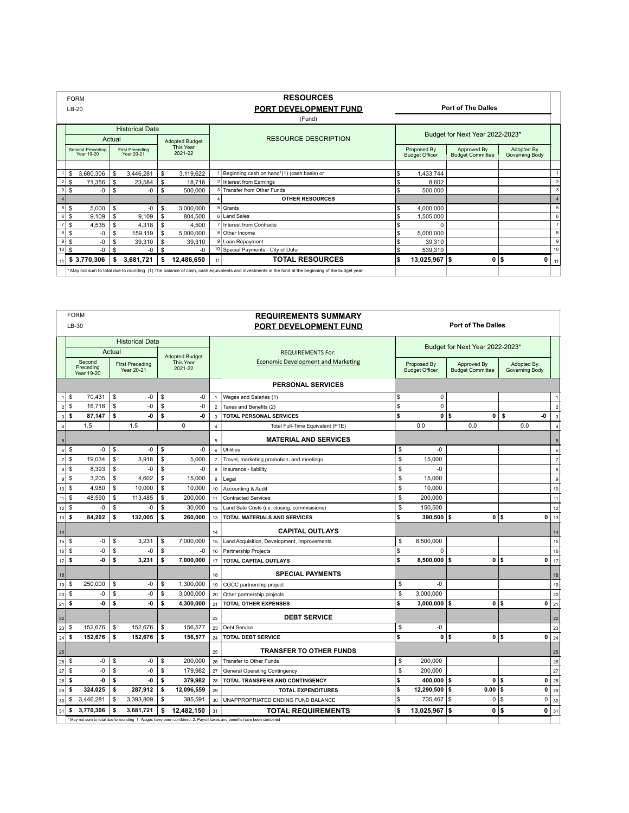|                | <b>FORM</b>                     |      |    |                                      |                             |                             |    | <b>RESOURCES</b>                                                                                                                                 |                           |                                      |                                        |                              |   |                 |  |
|----------------|---------------------------------|------|----|--------------------------------------|-----------------------------|-----------------------------|----|--------------------------------------------------------------------------------------------------------------------------------------------------|---------------------------|--------------------------------------|----------------------------------------|------------------------------|---|-----------------|--|
|                | $LB-20$                         |      |    |                                      |                             |                             |    | PORT DEVELOPMENT FUND                                                                                                                            | <b>Port of The Dalles</b> |                                      |                                        |                              |   |                 |  |
|                |                                 |      |    |                                      |                             |                             |    | (Fund)                                                                                                                                           |                           |                                      |                                        |                              |   |                 |  |
|                |                                 |      |    | <b>Historical Data</b>               |                             |                             |    |                                                                                                                                                  |                           |                                      |                                        |                              |   |                 |  |
|                | Actual<br><b>Adopted Budget</b> |      |    |                                      | <b>RESOURCE DESCRIPTION</b> |                             |    | Budget for Next Year 2022-2023*                                                                                                                  |                           |                                      |                                        |                              |   |                 |  |
|                | Second Preceding<br>Year 19-20  |      |    | <b>First Preceding</b><br>Year 20-21 |                             | <b>This Year</b><br>2021-22 |    |                                                                                                                                                  |                           | Proposed By<br><b>Budget Officer</b> | Approved By<br><b>Budget Committee</b> | Adopted By<br>Governing Body |   |                 |  |
|                |                                 |      |    |                                      |                             |                             |    |                                                                                                                                                  |                           |                                      |                                        |                              |   |                 |  |
|                | 3,680,306<br>\$                 |      | S. | 3,446,281                            | \$                          | 3,119,622                   |    | Beginning cash on hand*(1) (cash basis) or<br>l S                                                                                                |                           | 1,433,744                            |                                        |                              |   |                 |  |
| $\overline{2}$ | \$<br>71,356                    |      | \$ | 23,584                               | \$                          | 18,718                      |    | 2 Interest from Earnings                                                                                                                         |                           | 8,602                                |                                        |                              |   | $\overline{2}$  |  |
| 3              | \$                              | -0   | S. | -0                                   | \$                          | 500,000                     |    | 3 Transfer from Other Funds                                                                                                                      |                           | 500,000                              |                                        |                              |   | $\overline{3}$  |  |
| $\overline{4}$ |                                 |      |    |                                      |                             |                             |    | <b>OTHER RESOURCES</b>                                                                                                                           |                           |                                      |                                        |                              |   | $\overline{4}$  |  |
| 5              | \$<br>5,000                     |      | \$ | -0                                   | \$                          | 3,000,000                   |    | 5 Grants                                                                                                                                         |                           | 4,000,000                            |                                        |                              |   | 5 <sub>1</sub>  |  |
| 6              | \$<br>9.109                     |      | \$ | 9.109                                | \$                          | 804.500                     |    | 6 Land Sales                                                                                                                                     |                           | 1,505,000                            |                                        |                              |   | $6 \mid$        |  |
| $\overline{z}$ | \$<br>4,535                     |      | \$ | 4,318                                | \$                          | 4,500                       |    | Interest from Contracts                                                                                                                          |                           | $\Omega$                             |                                        |                              |   | $\overline{7}$  |  |
| 8              | \$                              | $-0$ | S. | 159,119                              | \$                          | 5,000,000                   |    | 8 Other Income                                                                                                                                   |                           | 5,000,000                            |                                        |                              |   | 8               |  |
| $\mathsf g$    | \$                              | -0   | £. | 39,310                               | \$.                         | 39,310                      |    | 9 Loan Repayment                                                                                                                                 |                           | 39,310                               |                                        |                              |   | $\mathsf g$     |  |
| $10$           | \$                              | $-0$ | \$ | -0                                   | -S                          | $-0$                        | 10 | Special Payments - City of Dufur                                                                                                                 |                           | 539,310                              |                                        |                              |   | 10 <sup>1</sup> |  |
| 11             | \$3,770,306                     |      | \$ | 3,681,721                            | s                           | 12,486,650                  | 11 | <b>TOTAL RESOURCES</b>                                                                                                                           | l\$                       | 13,025,967 \$                        | 0                                      | \$                           | 0 | 11              |  |
|                |                                 |      |    |                                      |                             |                             |    | * May not sum to total due to rounding (1) The balance of cash, cash equivalents and investments in the fund at the beginning of the budget year |                           |                                      |                                        |                              |   |                 |  |

| <b>FORM</b>                    |                                          |                                 |                                      |               |                      |                                           | <b>REQUIREMENTS SUMMARY</b>                                                                                        |                                 |                |                                                                                |          |     |                              |                |  |
|--------------------------------|------------------------------------------|---------------------------------|--------------------------------------|---------------|----------------------|-------------------------------------------|--------------------------------------------------------------------------------------------------------------------|---------------------------------|----------------|--------------------------------------------------------------------------------|----------|-----|------------------------------|----------------|--|
|                                | $LB-30$                                  |                                 |                                      |               |                      |                                           | <b>Port of The Dalles</b><br>PORT DEVELOPMENT FUND                                                                 |                                 |                |                                                                                |          |     |                              |                |  |
|                                |                                          |                                 | <b>Historical Data</b>               |               |                      |                                           |                                                                                                                    | Budget for Next Year 2022-2023* |                |                                                                                |          |     |                              |                |  |
|                                |                                          | Actual<br><b>Adopted Budget</b> |                                      |               |                      |                                           | <b>REQUIREMENTS For:</b>                                                                                           |                                 |                |                                                                                |          |     |                              |                |  |
|                                | Second<br>Preceding<br><b>Year 19-20</b> |                                 | <b>First Preceding</b><br>Year 20-21 |               | This Year<br>2021-22 | <b>Economic Development and Marketing</b> |                                                                                                                    |                                 |                | Proposed By<br>Approved By<br><b>Budget Officer</b><br><b>Budget Committee</b> |          |     | Adopted By<br>Governing Body |                |  |
|                                |                                          |                                 |                                      |               |                      |                                           | <b>PERSONAL SERVICES</b>                                                                                           |                                 |                |                                                                                |          |     |                              |                |  |
| \$<br>1                        | 70.431                                   | \$                              | -0                                   | \$            | $-0$                 | $\overline{1}$                            | Wages and Salaries (1)                                                                                             | \$                              | 0              |                                                                                |          |     |                              |                |  |
| \$<br>$\overline{2}$           | 16.716                                   | \$                              | -0                                   | \$            | $-0$                 | $\overline{2}$                            | Taxes and Benefits (2)                                                                                             | \$                              | 0              |                                                                                |          |     |                              | $\overline{2}$ |  |
| \$<br>$\overline{\mathbf{3}}$  | 87,147                                   | \$                              | -0                                   | \$            | -0                   | 3                                         | <b>TOTAL PERSONAL SERVICES</b>                                                                                     | \$                              | 0              | 0<br>l\$                                                                       | \$       |     | -0                           | $\overline{3}$ |  |
| 4                              | 1.5                                      |                                 | 1.5                                  |               | 0                    | $\overline{4}$                            | Total Full-Time Equivalent (FTE)                                                                                   |                                 | 0.0            | 0.0                                                                            |          | 0.0 |                              | $\overline{4}$ |  |
| 5 <sub>5</sub>                 |                                          |                                 |                                      |               |                      | 5                                         | <b>MATERIAL AND SERVICES</b>                                                                                       |                                 |                |                                                                                |          |     |                              | 5              |  |
| $6 \overline{6}$<br>\$         | $-0$                                     | \$                              | -0                                   | \$            | $-0$                 | 6                                         | Utilities                                                                                                          | \$                              | $-0$           |                                                                                |          |     |                              | $\overline{6}$ |  |
| $\mathbb{S}$<br>$\overline{7}$ | 19.034                                   | \$                              | 3.918                                | \$            | 5.000                | $\overline{7}$                            | Travel, marketing promotion, and meetings                                                                          | S                               | 15,000         |                                                                                |          |     |                              | $\overline{7}$ |  |
| $\mathbb{S}$<br>8 <sup>1</sup> | 8.393                                    | \$                              | -0                                   | ${\mathbb S}$ | $-0$                 | $\mathbf{a}$                              | Insurance - liability                                                                                              | \$                              | $-0$           |                                                                                |          |     |                              | 8              |  |
| \$<br>9                        | 3,205                                    | \$                              | 4.602                                | \$            | 15.000               | $\mathsf g$                               | Legal                                                                                                              | \$                              | 15,000         |                                                                                |          |     |                              | 9              |  |
| $\mathbb{S}$<br>10             | 4.980                                    | \$                              | 10.000                               | \$            | 10,000               | 10                                        | Accounting & Audit                                                                                                 | \$                              | 10.000         |                                                                                |          |     |                              | 10             |  |
| \$<br>11                       | 48.590                                   | \$                              | 113,485                              | \$            | 200,000              | 11                                        | <b>Contracted Services</b>                                                                                         | \$                              | 200,000        |                                                                                |          |     |                              | 11             |  |
| \$<br>12                       | -0                                       | \$                              | -0                                   | <b>S</b>      | 30,000               | 12                                        | Land Sale Costs (i.e. closing, commisisions)                                                                       | \$                              | 150,500        |                                                                                |          |     |                              | 12             |  |
| \$<br>13                       | 84,202                                   | \$                              | 132,005                              | \$            | 260,000              | 13                                        | <b>TOTAL MATERIALS AND SERVICES</b>                                                                                | \$                              | $390,500$ \$   |                                                                                | 0 S      |     | 0                            | 13             |  |
| 14                             |                                          |                                 |                                      |               |                      | 14                                        | <b>CAPITAL OUTLAYS</b>                                                                                             |                                 |                |                                                                                |          |     |                              | 14             |  |
| \$<br>15                       | $-0$                                     | \$                              | 3,231                                | \$            | 7,000,000            | 15                                        | Land Acquisition, Development, Improvements                                                                        | \$                              | 8,500,000      |                                                                                |          |     |                              | 15             |  |
| $\mathbb{S}$<br>16             | $-0$                                     | \$                              | -0                                   | \$            | -0                   | 16                                        | Partnership Projects                                                                                               | \$                              | $\Omega$       |                                                                                |          |     |                              | 16             |  |
| \$<br>17                       | -0                                       | \$                              | 3,231                                | \$            | 7,000,000            | 17                                        | <b>TOTAL CAPITAL OUTLAYS</b>                                                                                       | \$                              | $8,500,000$ \$ |                                                                                | ols      |     | 0                            | 17             |  |
| 18                             |                                          |                                 |                                      |               |                      | 18                                        | <b>SPECIAL PAYMENTS</b>                                                                                            |                                 |                |                                                                                |          |     |                              | 18             |  |
| \$<br>19                       | 250.000                                  | \$                              | -0                                   | \$            | 1,300,000            | 19                                        | CGCC partnership project                                                                                           | \$                              | $-0$           |                                                                                |          |     |                              | 19             |  |
| $\mathbb{S}$<br>20             | -0                                       | \$                              | -0                                   | \$            | 3,000,000            | 20                                        | Other partnership projects                                                                                         | \$                              | 3,000,000      |                                                                                |          |     |                              | 20             |  |
| s<br>21                        | -0                                       | \$                              | -0                                   | s             | 4.300.000            | 21                                        | <b>TOTAL OTHER EXPENSES</b>                                                                                        | \$                              | $3.000.000$ S  |                                                                                | ols      |     | 0                            | 21             |  |
| 22                             |                                          |                                 |                                      |               |                      | 22                                        | <b>DEBT SERVICE</b>                                                                                                |                                 |                |                                                                                |          |     |                              | 22             |  |
| \$<br>23                       | 152,676                                  | \$                              | 152,676                              | \$            | 156,577              | 23                                        | Debt Service                                                                                                       | \$                              | $-0$           |                                                                                |          |     |                              | 23             |  |
| s<br>24                        | 152.676                                  | \$                              | 152,676                              | \$            | 156.577              | 24                                        | <b>TOTAL DEBT SERVICE</b>                                                                                          | \$                              | o Is           |                                                                                | ols      |     | 0                            | 24             |  |
| 25                             |                                          |                                 |                                      |               |                      | 25                                        | <b>TRANSFER TO OTHER FUNDS</b>                                                                                     |                                 |                |                                                                                |          |     |                              | 25             |  |
| 26<br>\$                       | $-0$                                     | \$                              | -0                                   | \$            | 200,000              | 26                                        | Transfer to Other Funds                                                                                            | \$                              | 200,000        |                                                                                |          |     |                              | 26             |  |
| \$<br>27                       | $-0$                                     | \$                              | $-0$                                 | ${\mathbb S}$ | 179.982              | 27                                        | <b>General Operating Contingency</b>                                                                               | \$                              | 200.000        |                                                                                |          |     |                              | 27             |  |
| \$<br>28                       | -0                                       | \$                              | -0                                   | s             | 379,982              | 28                                        | <b>TOTAL TRANSFERS AND CONTINGENCY</b>                                                                             | \$                              | 400,000 \$     | 0                                                                              | ١s       |     | 0                            | 28             |  |
| \$<br>29                       | 324.025                                  | \$                              | 287,912                              | \$            | 12,096,559           | 29                                        | <b>TOTAL EXPENDITURES</b>                                                                                          | \$                              | 12,290,500 \$  | 0.00                                                                           | <b>s</b> |     | 0                            | 29             |  |
| \$<br>30                       | 3,446,281                                | \$                              | 3,393,809                            | \$            | 385,591              | 30                                        | UNAPPROPRIATED ENDING FUND BALANCE                                                                                 | \$                              | 735,467        | 0<br>I\$                                                                       | \$       |     | 0                            | 30             |  |
| \$<br>31                       | 3,770,306                                | \$                              | 3,681,721                            | s.            | 12.482.150           | 31                                        | <b>TOTAL REQUIREMENTS</b>                                                                                          | s                               | 13.025.967     | 1\$                                                                            | o is     |     | 0                            | 31             |  |
|                                |                                          |                                 |                                      |               |                      |                                           | May not sum to total due to rounding 1. Wages have been combined; 2. Payroll taxes and benefits have been combined |                                 |                |                                                                                |          |     |                              |                |  |